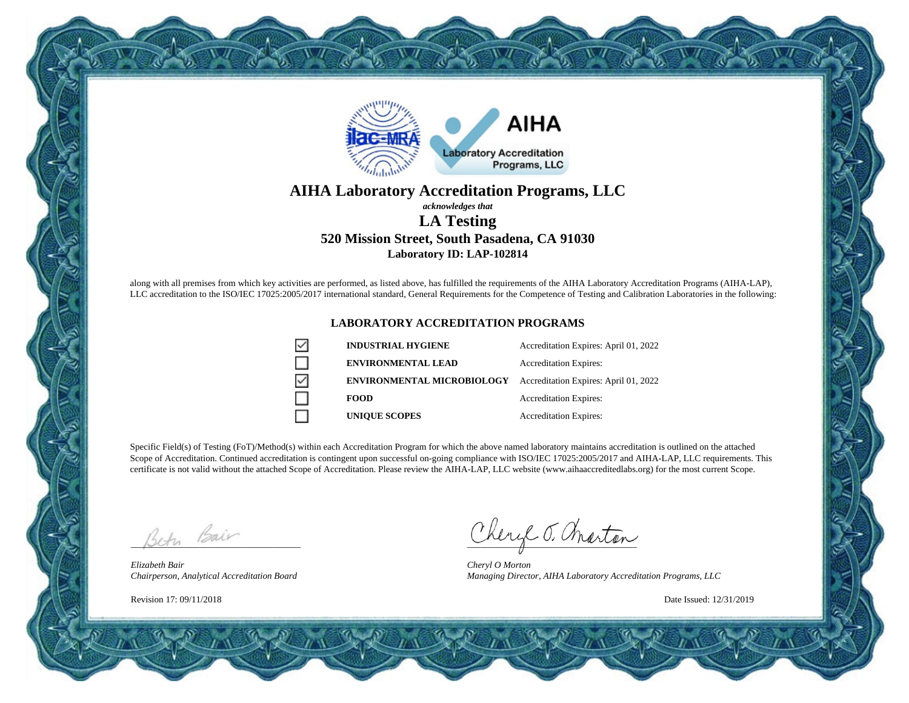

# **AIHA Laboratory Accreditation Programs, LLC**

### *acknowledges that* **LA Testing 520 Mission Street, South Pasadena, CA 91030 Laboratory ID: LAP-102814**

along with all premises from which key activities are performed, as listed above, has fulfilled the requirements of the AIHA Laboratory Accreditation Programs (AIHA-LAP), LLC accreditation to the ISO/IEC 17025:2005/2017 international standard, General Requirements for the Competence of Testing and Calibration Laboratories in the following:

#### **LABORATORY ACCREDITATION PROGRAMS**

| ✓ | <b>INDUSTRIAL HYGIENE</b>         | Accreditation Expires: April 01, 2022 |
|---|-----------------------------------|---------------------------------------|
|   | <b>ENVIRONMENTAL LEAD</b>         | <b>Accreditation Expires:</b>         |
| ✓ | <b>ENVIRONMENTAL MICROBIOLOGY</b> | Accreditation Expires: April 01, 2022 |
|   | <b>FOOD</b>                       | <b>Accreditation Expires:</b>         |
|   | <b>UNIQUE SCOPES</b>              | <b>Accreditation Expires:</b>         |

Specific Field(s) of Testing (FoT)/Method(s) within each Accreditation Program for which the above named laboratory maintains accreditation is outlined on the attached Scope of Accreditation. Continued accreditation is contingent upon successful on-going compliance with ISO/IEC 17025:2005/2017 and AIHA-LAP, LLC requirements. This certificate is not valid without the attached Scope of Accreditation. Please review the AIHA-LAP, LLC website (www.aihaaccreditedlabs.org) for the most current Scope.

Beth Bair

*Elizabeth Bair Chairperson, Analytical Accreditation Board*

Revision 17: 09/11/2018

Cheryl J. Charton

*Cheryl O Morton Managing Director, AIHA Laboratory Accreditation Programs, LLC*

Date Issued: 12/31/2019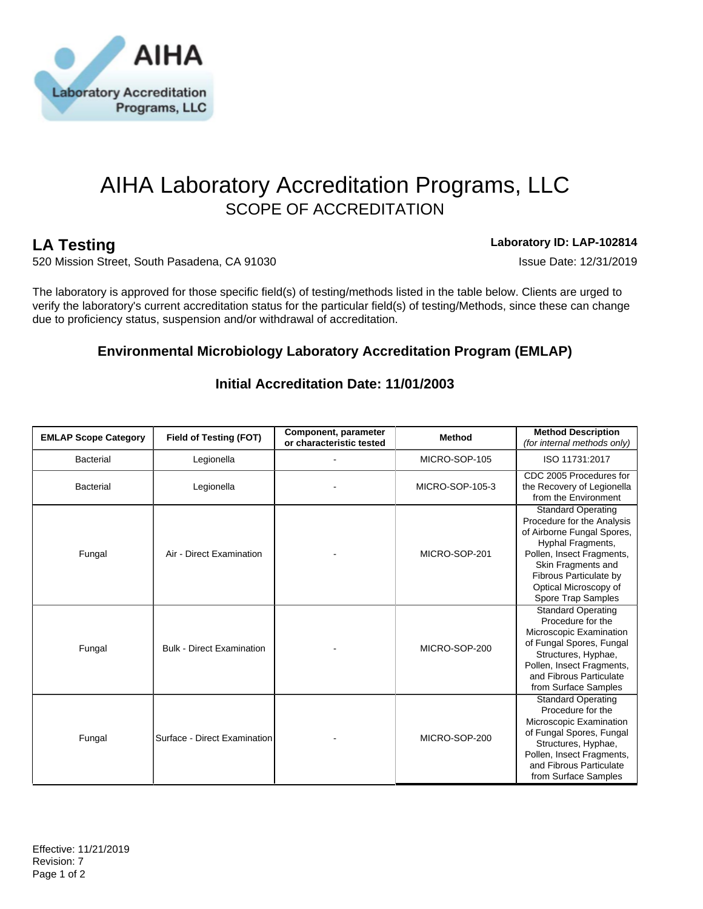

# AIHA Laboratory Accreditation Programs, LLC SCOPE OF ACCREDITATION

**LA Testing Laboratory ID: LAP-102814**

520 Mission Street, South Pasadena, CA 91030 **ISSUE DATE: 12/31/2019** Issue Date: 12/31/2019

The laboratory is approved for those specific field(s) of testing/methods listed in the table below. Clients are urged to verify the laboratory's current accreditation status for the particular field(s) of testing/Methods, since these can change due to proficiency status, suspension and/or withdrawal of accreditation.

## **Environmental Microbiology Laboratory Accreditation Program (EMLAP)**

| <b>EMLAP Scope Category</b> | Field of Testing (FOT)           | Component, parameter<br>or characteristic tested | Method          | <b>Method Description</b><br>(for internal methods only)                                                                                                                                                                               |
|-----------------------------|----------------------------------|--------------------------------------------------|-----------------|----------------------------------------------------------------------------------------------------------------------------------------------------------------------------------------------------------------------------------------|
| <b>Bacterial</b>            | Legionella                       |                                                  | MICRO-SOP-105   | ISO 11731:2017                                                                                                                                                                                                                         |
| <b>Bacterial</b>            | Legionella                       |                                                  | MICRO-SOP-105-3 | CDC 2005 Procedures for<br>the Recovery of Legionella<br>from the Environment                                                                                                                                                          |
| Fungal                      | Air - Direct Examination         |                                                  | MICRO-SOP-201   | <b>Standard Operating</b><br>Procedure for the Analysis<br>of Airborne Fungal Spores,<br>Hyphal Fragments,<br>Pollen, Insect Fragments,<br>Skin Fragments and<br>Fibrous Particulate by<br>Optical Microscopy of<br>Spore Trap Samples |
| Fungal                      | <b>Bulk - Direct Examination</b> |                                                  | MICRO-SOP-200   | <b>Standard Operating</b><br>Procedure for the<br>Microscopic Examination<br>of Fungal Spores, Fungal<br>Structures, Hyphae,<br>Pollen, Insect Fragments,<br>and Fibrous Particulate<br>from Surface Samples                           |
| Fungal                      | Surface - Direct Examination     |                                                  | MICRO-SOP-200   | <b>Standard Operating</b><br>Procedure for the<br>Microscopic Examination<br>of Fungal Spores, Fungal<br>Structures, Hyphae,<br>Pollen, Insect Fragments,<br>and Fibrous Particulate<br>from Surface Samples                           |

## **Initial Accreditation Date: 11/01/2003**